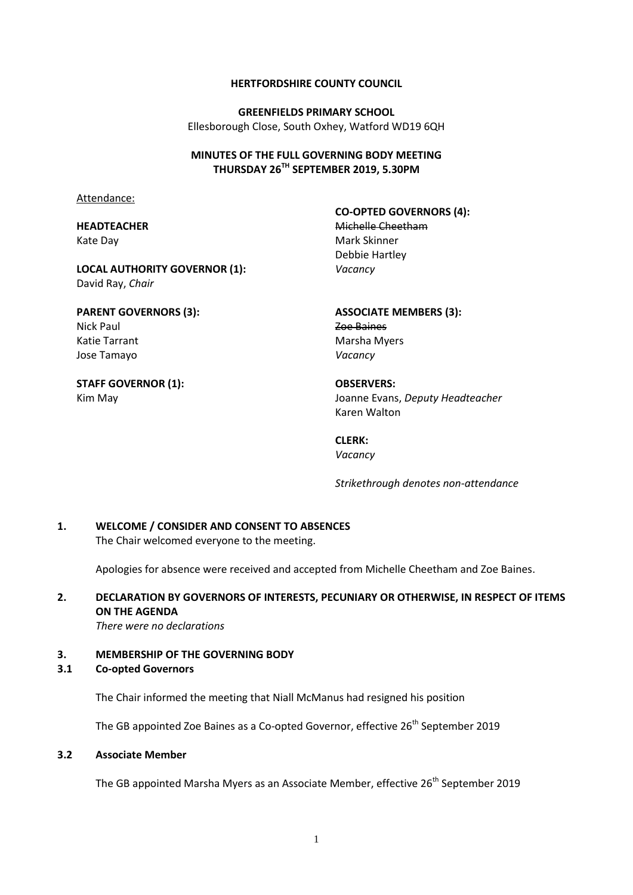#### **HERTFORDSHIRE COUNTY COUNCIL**

**GREENFIELDS PRIMARY SCHOOL** Ellesborough Close, South Oxhey, Watford WD19 6QH

#### **MINUTES OF THE FULL GOVERNING BODY MEETING THURSDAY 26TH SEPTEMBER 2019, 5.30PM**

Attendance:

### **HEADTEACHER** Kate Day

**LOCAL AUTHORITY GOVERNOR (1):** David Ray, *Chair*

**PARENT GOVERNORS (3):** Nick Paul Katie Tarrant Jose Tamayo

**STAFF GOVERNOR (1):** Kim May

**CO-OPTED GOVERNORS (4):** Michelle Cheetham Mark Skinner Debbie Hartley *Vacancy*

**ASSOCIATE MEMBERS (3):** Zoe Baines Marsha Myers *Vacancy*

**OBSERVERS:** Joanne Evans, *Deputy Headteacher* Karen Walton

**CLERK:** *Vacancy*

*Strikethrough denotes non-attendance*

# **1. WELCOME / CONSIDER AND CONSENT TO ABSENCES**

The Chair welcomed everyone to the meeting.

Apologies for absence were received and accepted from Michelle Cheetham and Zoe Baines.

## **2. DECLARATION BY GOVERNORS OF INTERESTS, PECUNIARY OR OTHERWISE, IN RESPECT OF ITEMS ON THE AGENDA**

*There were no declarations*

#### **3. MEMBERSHIP OF THE GOVERNING BODY**

#### **3.1 Co-opted Governors**

The Chair informed the meeting that Niall McManus had resigned his position

The GB appointed Zoe Baines as a Co-opted Governor, effective 26<sup>th</sup> September 2019

#### **3.2 Associate Member**

The GB appointed Marsha Myers as an Associate Member, effective 26<sup>th</sup> September 2019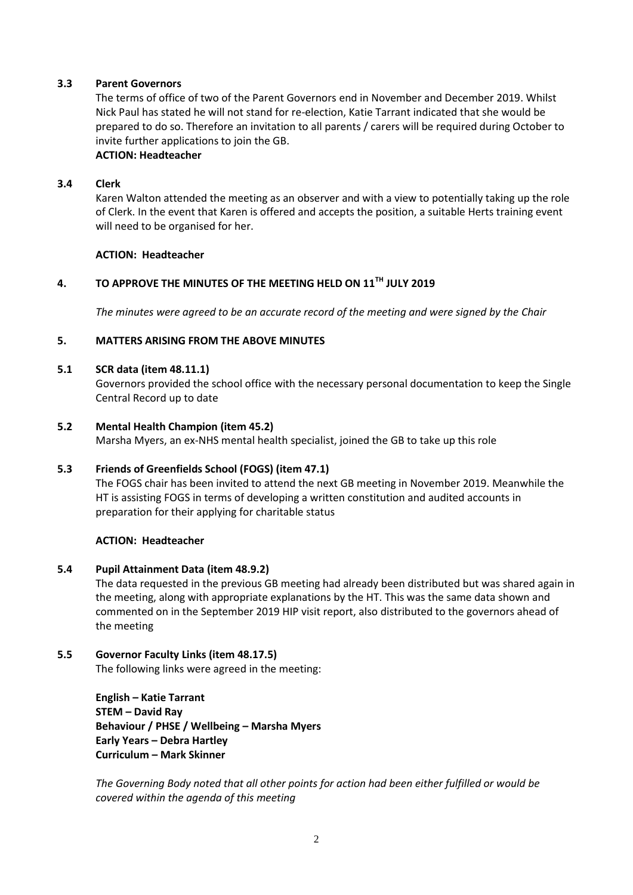### **3.3 Parent Governors**

The terms of office of two of the Parent Governors end in November and December 2019. Whilst Nick Paul has stated he will not stand for re-election, Katie Tarrant indicated that she would be prepared to do so. Therefore an invitation to all parents / carers will be required during October to invite further applications to join the GB.

## **ACTION: Headteacher**

#### **3.4 Clerk**

Karen Walton attended the meeting as an observer and with a view to potentially taking up the role of Clerk. In the event that Karen is offered and accepts the position, a suitable Herts training event will need to be organised for her.

#### **ACTION: Headteacher**

## **4. TO APPROVE THE MINUTES OF THE MEETING HELD ON 11TH JULY 2019**

*The minutes were agreed to be an accurate record of the meeting and were signed by the Chair*

#### **5. MATTERS ARISING FROM THE ABOVE MINUTES**

#### **5.1 SCR data (item 48.11.1)**

Governors provided the school office with the necessary personal documentation to keep the Single Central Record up to date

#### **5.2 Mental Health Champion (item 45.2)**

Marsha Myers, an ex-NHS mental health specialist, joined the GB to take up this role

#### **5.3 Friends of Greenfields School (FOGS) (item 47.1)**

The FOGS chair has been invited to attend the next GB meeting in November 2019. Meanwhile the HT is assisting FOGS in terms of developing a written constitution and audited accounts in preparation for their applying for charitable status

#### **ACTION: Headteacher**

#### **5.4 Pupil Attainment Data (item 48.9.2)**

The data requested in the previous GB meeting had already been distributed but was shared again in the meeting, along with appropriate explanations by the HT. This was the same data shown and commented on in the September 2019 HIP visit report, also distributed to the governors ahead of the meeting

## **5.5 Governor Faculty Links (item 48.17.5)**

The following links were agreed in the meeting:

**English – Katie Tarrant STEM – David Ray Behaviour / PHSE / Wellbeing – Marsha Myers Early Years – Debra Hartley Curriculum – Mark Skinner**

*The Governing Body noted that all other points for action had been either fulfilled or would be covered within the agenda of this meeting*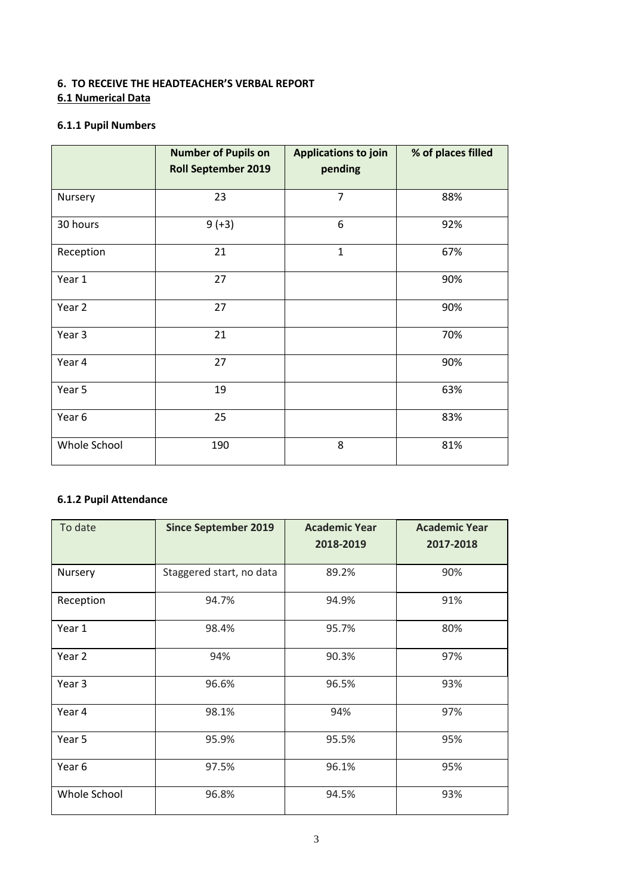## **6. TO RECEIVE THE HEADTEACHER'S VERBAL REPORT 6.1 Numerical Data**

## **6.1.1 Pupil Numbers**

|              | <b>Number of Pupils on</b><br><b>Roll September 2019</b> | <b>Applications to join</b><br>pending | % of places filled |
|--------------|----------------------------------------------------------|----------------------------------------|--------------------|
| Nursery      | 23                                                       | $\overline{7}$                         | 88%                |
| 30 hours     | $9 (+3)$                                                 | 6                                      | 92%                |
| Reception    | 21                                                       | $\mathbf{1}$                           | 67%                |
| Year 1       | 27                                                       |                                        | 90%                |
| Year 2       | 27                                                       |                                        | 90%                |
| Year 3       | 21                                                       |                                        | 70%                |
| Year 4       | 27                                                       |                                        | 90%                |
| Year 5       | 19                                                       |                                        | 63%                |
| Year 6       | 25                                                       |                                        | 83%                |
| Whole School | 190                                                      | 8                                      | 81%                |

## **6.1.2 Pupil Attendance**

| To date      | <b>Since September 2019</b> | <b>Academic Year</b><br>2018-2019 | <b>Academic Year</b><br>2017-2018 |
|--------------|-----------------------------|-----------------------------------|-----------------------------------|
| Nursery      | Staggered start, no data    | 89.2%                             | 90%                               |
| Reception    | 94.7%                       | 94.9%                             | 91%                               |
| Year 1       | 98.4%                       | 95.7%                             | 80%                               |
| Year 2       | 94%                         | 90.3%                             | 97%                               |
| Year 3       | 96.6%                       | 96.5%                             | 93%                               |
| Year 4       | 98.1%                       | 94%                               | 97%                               |
| Year 5       | 95.9%                       | 95.5%                             | 95%                               |
| Year 6       | 97.5%                       | 96.1%                             | 95%                               |
| Whole School | 96.8%                       | 94.5%                             | 93%                               |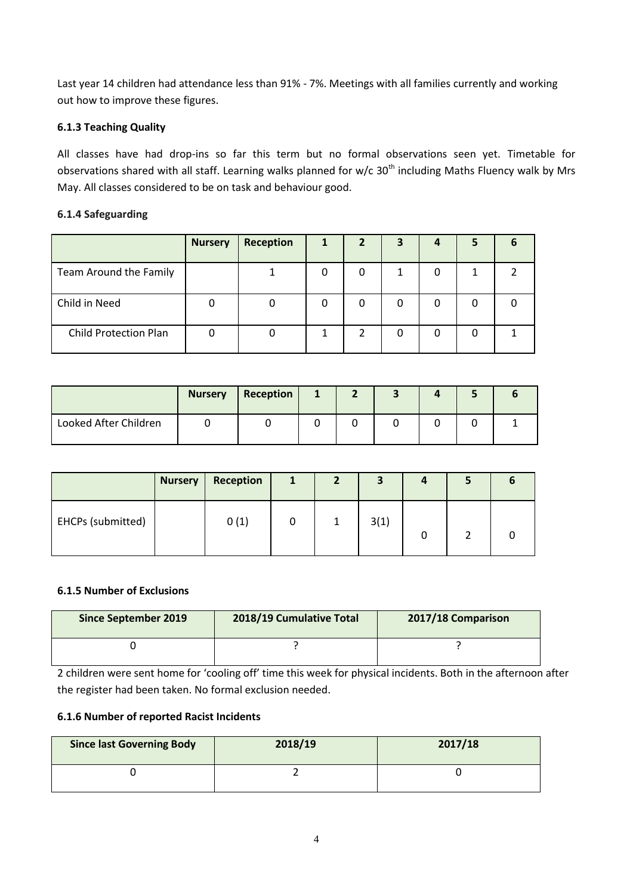Last year 14 children had attendance less than 91% - 7%. Meetings with all families currently and working out how to improve these figures.

## **6.1.3 Teaching Quality**

All classes have had drop-ins so far this term but no formal observations seen yet. Timetable for observations shared with all staff. Learning walks planned for w/c 30<sup>th</sup> including Maths Fluency walk by Mrs May. All classes considered to be on task and behaviour good.

## **6.1.4 Safeguarding**

|                              | <b>Nursery</b> | Reception | 2 | 3 |   | 5 |  |
|------------------------------|----------------|-----------|---|---|---|---|--|
| Team Around the Family       |                |           |   |   | 0 |   |  |
| Child in Need                |                |           | 0 |   |   | 0 |  |
| <b>Child Protection Plan</b> |                |           |   |   |   | 0 |  |

|                       | <b>Nursery</b> | Reception |  |  |  |
|-----------------------|----------------|-----------|--|--|--|
| Looked After Children |                |           |  |  |  |

|                   | <b>Nursery</b> | Reception | 1 | $\overline{2}$ | 3    | 4 |  |
|-------------------|----------------|-----------|---|----------------|------|---|--|
| EHCPs (submitted) |                | 0(1)      |   | 1              | 3(1) |   |  |

#### **6.1.5 Number of Exclusions**

| <b>Since September 2019</b> | 2018/19 Cumulative Total | 2017/18 Comparison |  |  |  |
|-----------------------------|--------------------------|--------------------|--|--|--|
|                             |                          |                    |  |  |  |

2 children were sent home for 'cooling off' time this week for physical incidents. Both in the afternoon after the register had been taken. No formal exclusion needed.

## **6.1.6 Number of reported Racist Incidents**

| <b>Since last Governing Body</b> | 2018/19 | 2017/18 |
|----------------------------------|---------|---------|
|                                  |         |         |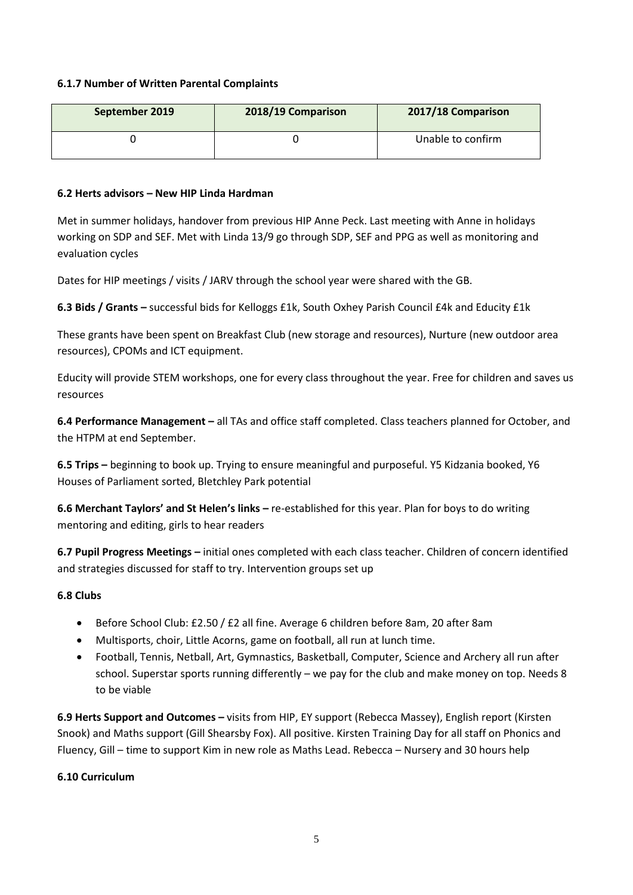#### **6.1.7 Number of Written Parental Complaints**

| September 2019 | 2018/19 Comparison | 2017/18 Comparison |
|----------------|--------------------|--------------------|
|                |                    | Unable to confirm  |

#### **6.2 Herts advisors – New HIP Linda Hardman**

Met in summer holidays, handover from previous HIP Anne Peck. Last meeting with Anne in holidays working on SDP and SEF. Met with Linda 13/9 go through SDP, SEF and PPG as well as monitoring and evaluation cycles

Dates for HIP meetings / visits / JARV through the school year were shared with the GB.

**6.3 Bids / Grants –** successful bids for Kelloggs £1k, South Oxhey Parish Council £4k and Educity £1k

These grants have been spent on Breakfast Club (new storage and resources), Nurture (new outdoor area resources), CPOMs and ICT equipment.

Educity will provide STEM workshops, one for every class throughout the year. Free for children and saves us resources

**6.4 Performance Management –** all TAs and office staff completed. Class teachers planned for October, and the HTPM at end September.

**6.5 Trips –** beginning to book up. Trying to ensure meaningful and purposeful. Y5 Kidzania booked, Y6 Houses of Parliament sorted, Bletchley Park potential

**6.6 Merchant Taylors' and St Helen's links –** re-established for this year. Plan for boys to do writing mentoring and editing, girls to hear readers

**6.7 Pupil Progress Meetings –** initial ones completed with each class teacher. Children of concern identified and strategies discussed for staff to try. Intervention groups set up

## **6.8 Clubs**

- Before School Club: £2.50 / £2 all fine. Average 6 children before 8am, 20 after 8am
- Multisports, choir, Little Acorns, game on football, all run at lunch time.
- Football, Tennis, Netball, Art, Gymnastics, Basketball, Computer, Science and Archery all run after school. Superstar sports running differently – we pay for the club and make money on top. Needs 8 to be viable

**6.9 Herts Support and Outcomes –** visits from HIP, EY support (Rebecca Massey), English report (Kirsten Snook) and Maths support (Gill Shearsby Fox). All positive. Kirsten Training Day for all staff on Phonics and Fluency, Gill – time to support Kim in new role as Maths Lead. Rebecca – Nursery and 30 hours help

## **6.10 Curriculum**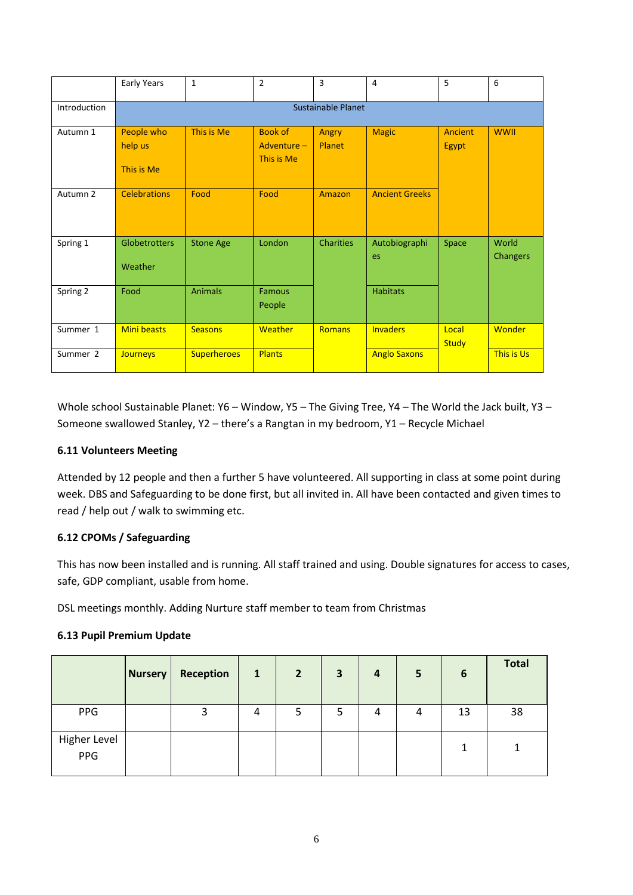|                     | Early Years                                       | $\mathbf{1}$       | $\overline{2}$                              | 3                | 4                     | 5                       | 6                        |  |  |  |  |
|---------------------|---------------------------------------------------|--------------------|---------------------------------------------|------------------|-----------------------|-------------------------|--------------------------|--|--|--|--|
| Introduction        |                                                   | Sustainable Planet |                                             |                  |                       |                         |                          |  |  |  |  |
| Autumn 1            | People who<br>This is Me<br>help us<br>This is Me |                    | <b>Book of</b><br>Adventure -<br>This is Me | Angry<br>Planet  | <b>Magic</b>          | Ancient<br><b>Egypt</b> | <b>WWII</b>              |  |  |  |  |
| Autumn <sub>2</sub> | <b>Celebrations</b>                               | Food               | Food                                        | Amazon           | <b>Ancient Greeks</b> |                         |                          |  |  |  |  |
| Spring 1            | <b>Globetrotters</b><br>Weather                   | <b>Stone Age</b>   | London                                      | <b>Charities</b> | Autobiographi<br>es   | Space                   | World<br><b>Changers</b> |  |  |  |  |
| Spring 2            | Food                                              | <b>Animals</b>     | <b>Famous</b><br>People                     |                  | <b>Habitats</b>       |                         |                          |  |  |  |  |
| Summer 1            | <b>Mini beasts</b>                                | <b>Seasons</b>     | Weather                                     | <b>Romans</b>    | <b>Invaders</b>       | Local<br><b>Study</b>   | <b>Wonder</b>            |  |  |  |  |
| Summer 2            | <b>Journeys</b>                                   | <b>Superheroes</b> | <b>Plants</b>                               |                  | <b>Anglo Saxons</b>   |                         | This is Us               |  |  |  |  |

Whole school Sustainable Planet: Y6 - Window, Y5 - The Giving Tree, Y4 - The World the Jack built, Y3 -Someone swallowed Stanley, Y2 – there's a Rangtan in my bedroom, Y1 – Recycle Michael

## **6.11 Volunteers Meeting**

Attended by 12 people and then a further 5 have volunteered. All supporting in class at some point during week. DBS and Safeguarding to be done first, but all invited in. All have been contacted and given times to read / help out / walk to swimming etc.

## **6.12 CPOMs / Safeguarding**

This has now been installed and is running. All staff trained and using. Double signatures for access to cases, safe, GDP compliant, usable from home.

DSL meetings monthly. Adding Nurture staff member to team from Christmas

#### **6.13 Pupil Premium Update**

|                     | <b>Nursery</b> | Reception | $\mathbf{1}$ | $\overline{2}$ | 3 | $\boldsymbol{4}$ | 5 | 6  | <b>Total</b> |
|---------------------|----------------|-----------|--------------|----------------|---|------------------|---|----|--------------|
| PPG                 |                | 3         | 4            |                | 5 | 4                | 4 | 13 | 38           |
| Higher Level<br>PPG |                |           |              |                |   |                  |   |    |              |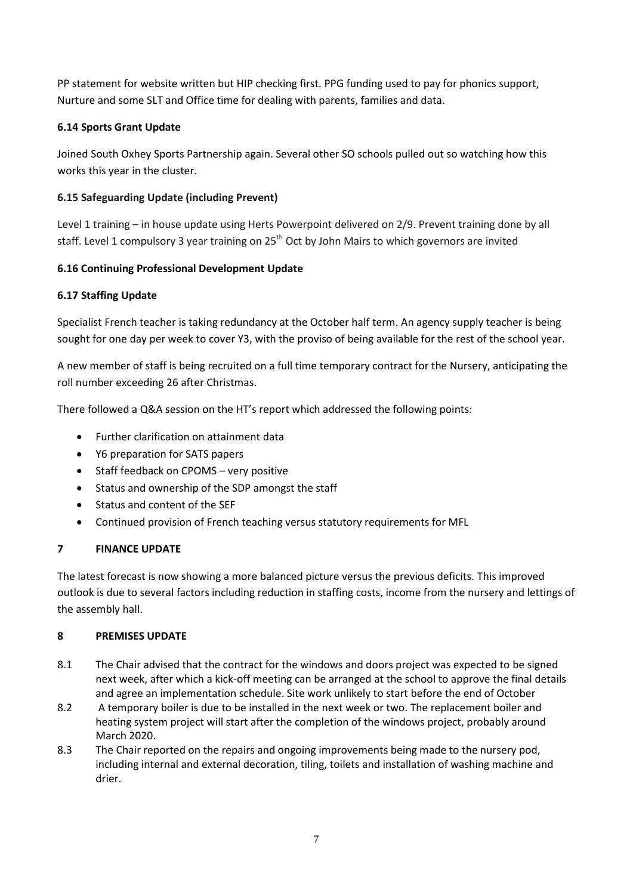PP statement for website written but HIP checking first. PPG funding used to pay for phonics support, Nurture and some SLT and Office time for dealing with parents, families and data.

## **6.14 Sports Grant Update**

Joined South Oxhey Sports Partnership again. Several other SO schools pulled out so watching how this works this year in the cluster.

## **6.15 Safeguarding Update (including Prevent)**

Level 1 training – in house update using Herts Powerpoint delivered on 2/9. Prevent training done by all staff. Level 1 compulsory 3 year training on 25<sup>th</sup> Oct by John Mairs to which governors are invited

## **6.16 Continuing Professional Development Update**

## **6.17 Staffing Update**

Specialist French teacher is taking redundancy at the October half term. An agency supply teacher is being sought for one day per week to cover Y3, with the proviso of being available for the rest of the school year.

A new member of staff is being recruited on a full time temporary contract for the Nursery, anticipating the roll number exceeding 26 after Christmas.

There followed a Q&A session on the HT's report which addressed the following points:

- Further clarification on attainment data
- Y6 preparation for SATS papers
- Staff feedback on CPOMS very positive
- Status and ownership of the SDP amongst the staff
- Status and content of the SEF
- Continued provision of French teaching versus statutory requirements for MFL

## **7 FINANCE UPDATE**

The latest forecast is now showing a more balanced picture versus the previous deficits. This improved outlook is due to several factors including reduction in staffing costs, income from the nursery and lettings of the assembly hall.

## **8 PREMISES UPDATE**

- 8.1 The Chair advised that the contract for the windows and doors project was expected to be signed next week, after which a kick-off meeting can be arranged at the school to approve the final details and agree an implementation schedule. Site work unlikely to start before the end of October
- 8.2 A temporary boiler is due to be installed in the next week or two. The replacement boiler and heating system project will start after the completion of the windows project, probably around March 2020.
- 8.3 The Chair reported on the repairs and ongoing improvements being made to the nursery pod, including internal and external decoration, tiling, toilets and installation of washing machine and drier.